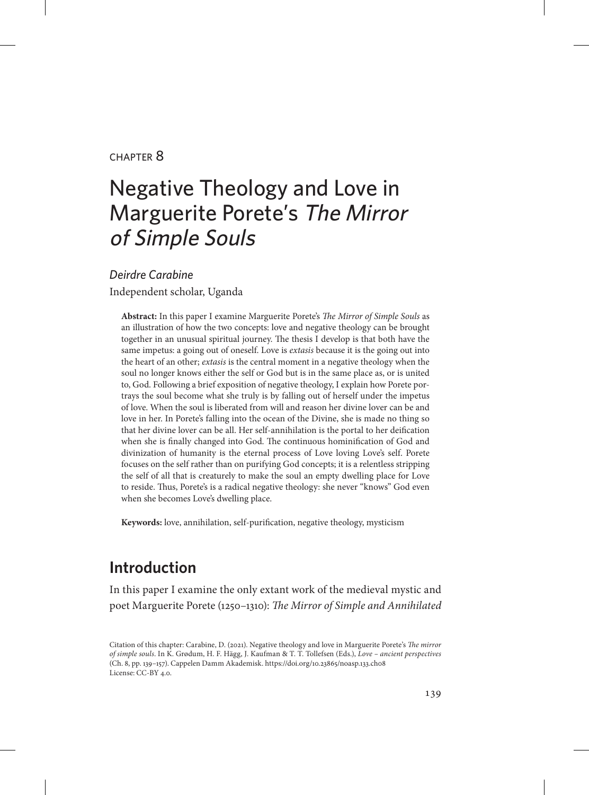#### chapter 8

# Negative Theology and Love in Marguerite Porete's The Mirror of Simple Souls

*Deirdre Carabine*

Independent scholar, Uganda

**Abstract:** In this paper I examine Marguerite Porete's *The Mirror of Simple Souls* as an illustration of how the two concepts: love and negative theology can be brought together in an unusual spiritual journey. The thesis I develop is that both have the same impetus: a going out of oneself. Love is *extasis* because it is the going out into the heart of an other; *extasis* is the central moment in a negative theology when the soul no longer knows either the self or God but is in the same place as, or is united to, God. Following a brief exposition of negative theology, I explain how Porete portrays the soul become what she truly is by falling out of herself under the impetus of love. When the soul is liberated from will and reason her divine lover can be and love in her. In Porete's falling into the ocean of the Divine, she is made no thing so that her divine lover can be all. Her self-annihilation is the portal to her deification when she is finally changed into God. The continuous hominification of God and divinization of humanity is the eternal process of Love loving Love's self. Porete focuses on the self rather than on purifying God concepts; it is a relentless stripping the self of all that is creaturely to make the soul an empty dwelling place for Love to reside. Thus, Porete's is a radical negative theology: she never "knows" God even when she becomes Love's dwelling place.

**Keywords:** love, annihilation, self-purification, negative theology, mysticism

# **Introduction**

In this paper I examine the only extant work of the medieval mystic and poet Marguerite Porete (1250–1310): *The Mirror of Simple and Annihilated* 

Citation of this chapter: Carabine, D. (2021). Negative theology and love in Marguerite Porete's *The mirror of simple souls*. In K. Grødum, H. F. Hägg, J. Kaufman & T. T. Tollefsen (Eds.), *Love – ancient perspectives* (Ch. 8, pp. 139–157). Cappelen Damm Akademisk. https://doi.org/10.23865/noasp.133.ch08 License: CC-BY 4.0.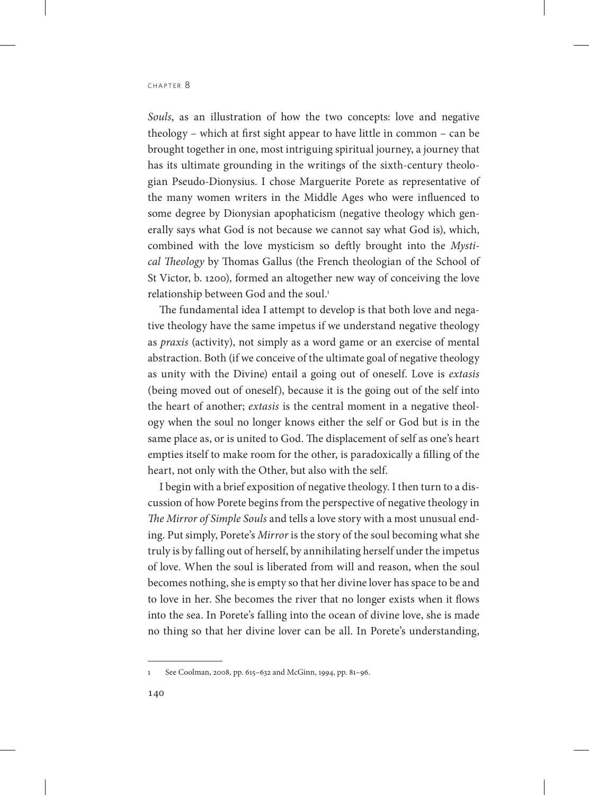*Souls*, as an illustration of how the two concepts: love and negative theology – which at first sight appear to have little in common – can be brought together in one, most intriguing spiritual journey, a journey that has its ultimate grounding in the writings of the sixth-century theologian Pseudo-Dionysius. I chose Marguerite Porete as representative of the many women writers in the Middle Ages who were influenced to some degree by Dionysian apophaticism (negative theology which generally says what God is not because we cannot say what God is), which, combined with the love mysticism so deftly brought into the *Mystical Theology* by Thomas Gallus (the French theologian of the School of St Victor, b. 1200), formed an altogether new way of conceiving the love relationship between God and the soul.<sup>1</sup>

The fundamental idea I attempt to develop is that both love and negative theology have the same impetus if we understand negative theology as *praxis* (activity), not simply as a word game or an exercise of mental abstraction. Both (if we conceive of the ultimate goal of negative theology as unity with the Divine) entail a going out of oneself. Love is *extasis* (being moved out of oneself), because it is the going out of the self into the heart of another; *extasis* is the central moment in a negative theology when the soul no longer knows either the self or God but is in the same place as, or is united to God. The displacement of self as one's heart empties itself to make room for the other, is paradoxically a filling of the heart, not only with the Other, but also with the self.

I begin with a brief exposition of negative theology. I then turn to a discussion of how Porete begins from the perspective of negative theology in *The Mirror of Simple Souls* and tells a love story with a most unusual ending. Put simply, Porete's *Mirror* is the story of the soul becoming what she truly is by falling out of herself, by annihilating herself under the impetus of love. When the soul is liberated from will and reason, when the soul becomes nothing, she is empty so that her divine lover has space to be and to love in her. She becomes the river that no longer exists when it flows into the sea. In Porete's falling into the ocean of divine love, she is made no thing so that her divine lover can be all. In Porete's understanding,

<sup>1</sup> See Coolman, 2008, pp. 615–632 and McGinn, 1994, pp. 81–96.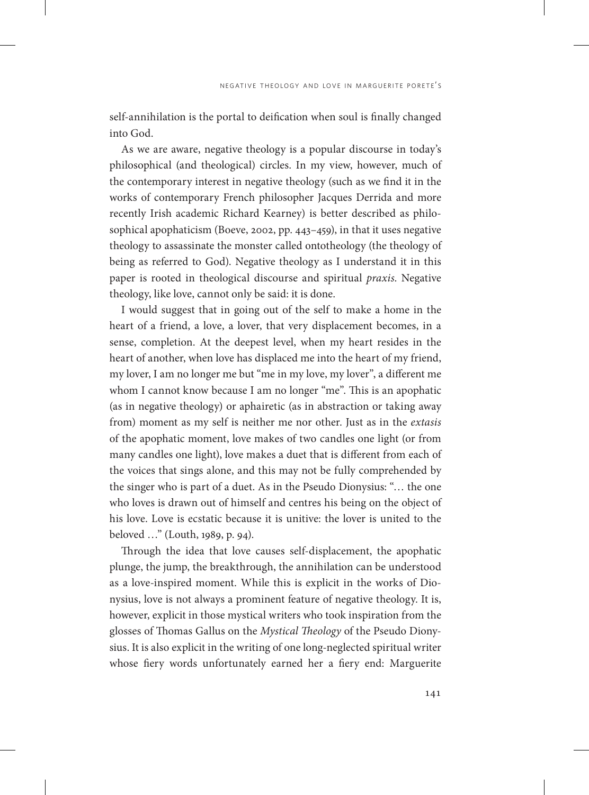self-annihilation is the portal to deification when soul is finally changed into God.

As we are aware, negative theology is a popular discourse in today's philosophical (and theological) circles. In my view, however, much of the contemporary interest in negative theology (such as we find it in the works of contemporary French philosopher Jacques Derrida and more recently Irish academic Richard Kearney) is better described as philosophical apophaticism (Boeve, 2002, pp. 443–459), in that it uses negative theology to assassinate the monster called ontotheology (the theology of being as referred to God). Negative theology as I understand it in this paper is rooted in theological discourse and spiritual *praxis*. Negative theology, like love, cannot only be said: it is done.

I would suggest that in going out of the self to make a home in the heart of a friend, a love, a lover, that very displacement becomes, in a sense, completion. At the deepest level, when my heart resides in the heart of another, when love has displaced me into the heart of my friend, my lover, I am no longer me but "me in my love, my lover", a different me whom I cannot know because I am no longer "me". This is an apophatic (as in negative theology) or aphairetic (as in abstraction or taking away from) moment as my self is neither me nor other. Just as in the *extasis* of the apophatic moment, love makes of two candles one light (or from many candles one light), love makes a duet that is different from each of the voices that sings alone, and this may not be fully comprehended by the singer who is part of a duet. As in the Pseudo Dionysius: "… the one who loves is drawn out of himself and centres his being on the object of his love. Love is ecstatic because it is unitive: the lover is united to the beloved …" (Louth, 1989, p. 94).

Through the idea that love causes self-displacement, the apophatic plunge, the jump, the breakthrough, the annihilation can be understood as a love-inspired moment. While this is explicit in the works of Dionysius, love is not always a prominent feature of negative theology. It is, however, explicit in those mystical writers who took inspiration from the glosses of Thomas Gallus on the *Mystical Theology* of the Pseudo Dionysius. It is also explicit in the writing of one long-neglected spiritual writer whose fiery words unfortunately earned her a fiery end: Marguerite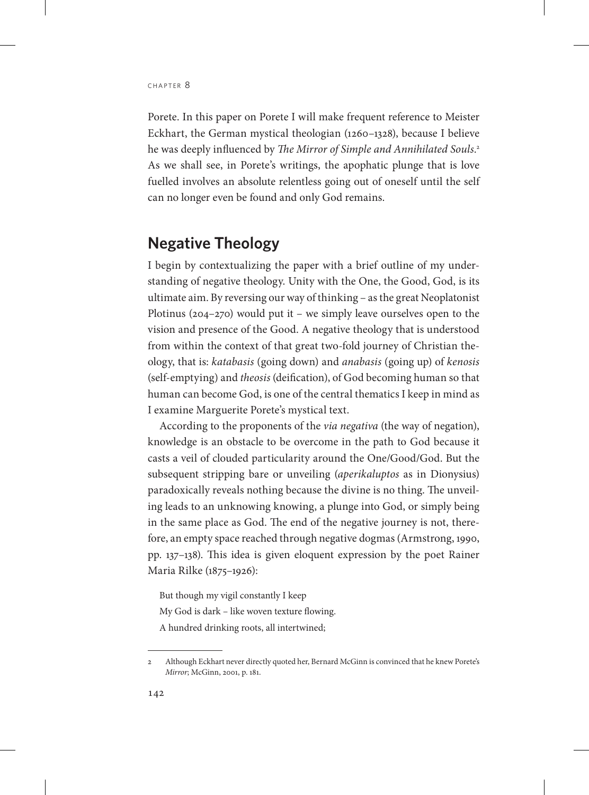Porete. In this paper on Porete I will make frequent reference to Meister Eckhart, the German mystical theologian (1260–1328), because I believe he was deeply influenced by *The Mirror of Simple and Annihilated Souls*. 2 As we shall see, in Porete's writings, the apophatic plunge that is love fuelled involves an absolute relentless going out of oneself until the self can no longer even be found and only God remains.

## **Negative Theology**

I begin by contextualizing the paper with a brief outline of my understanding of negative theology. Unity with the One, the Good, God, is its ultimate aim. By reversing our way of thinking – as the great Neoplatonist Plotinus (204–270) would put it – we simply leave ourselves open to the vision and presence of the Good. A negative theology that is understood from within the context of that great two-fold journey of Christian theology, that is: *katabasis* (going down) and *anabasis* (going up) of *kenosis* (self-emptying) and *theosis* (deification), of God becoming human so that human can become God, is one of the central thematics I keep in mind as I examine Marguerite Porete's mystical text.

According to the proponents of the *via negativa* (the way of negation), knowledge is an obstacle to be overcome in the path to God because it casts a veil of clouded particularity around the One/Good/God. But the subsequent stripping bare or unveiling (*aperikaluptos* as in Dionysius) paradoxically reveals nothing because the divine is no thing. The unveiling leads to an unknowing knowing, a plunge into God, or simply being in the same place as God. The end of the negative journey is not, therefore, an empty space reached through negative dogmas (Armstrong, 1990, pp. 137–138). This idea is given eloquent expression by the poet Rainer Maria Rilke (1875–1926):

But though my vigil constantly I keep My God is dark – like woven texture flowing. A hundred drinking roots, all intertwined;

<sup>2</sup> Although Eckhart never directly quoted her, Bernard McGinn is convinced that he knew Porete's *Mirror*; McGinn, 2001, p. 181.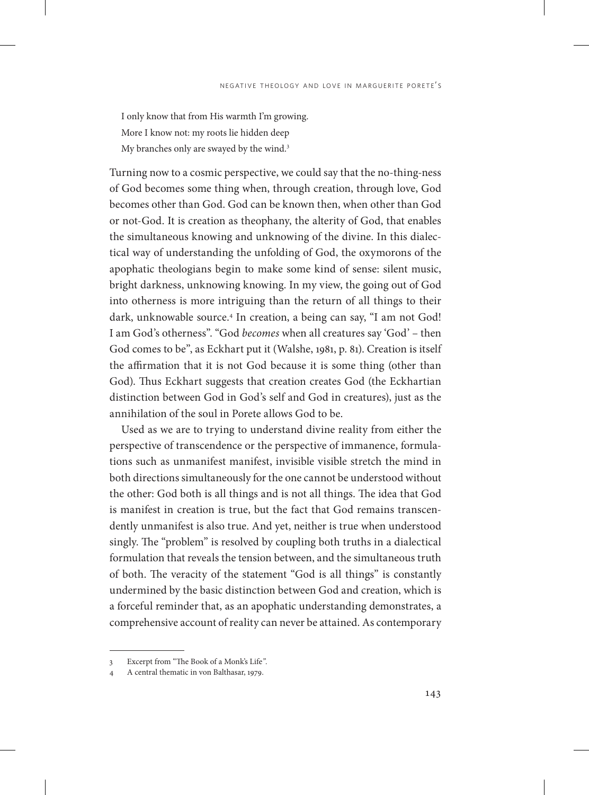I only know that from His warmth I'm growing. More I know not: my roots lie hidden deep My branches only are swayed by the wind.<sup>3</sup>

Turning now to a cosmic perspective, we could say that the no-thing-ness of God becomes some thing when, through creation, through love, God becomes other than God. God can be known then, when other than God or not-God. It is creation as theophany, the alterity of God, that enables the simultaneous knowing and unknowing of the divine. In this dialectical way of understanding the unfolding of God, the oxymorons of the apophatic theologians begin to make some kind of sense: silent music, bright darkness, unknowing knowing. In my view, the going out of God into otherness is more intriguing than the return of all things to their dark, unknowable source.4 In creation, a being can say, "I am not God! I am God's otherness". "God *becomes* when all creatures say 'God' – then God comes to be", as Eckhart put it (Walshe, 1981, p. 81). Creation is itself the affirmation that it is not God because it is some thing (other than God). Thus Eckhart suggests that creation creates God (the Eckhartian distinction between God in God's self and God in creatures), just as the annihilation of the soul in Porete allows God to be.

Used as we are to trying to understand divine reality from either the perspective of transcendence or the perspective of immanence, formulations such as unmanifest manifest, invisible visible stretch the mind in both directions simultaneously for the one cannot be understood without the other: God both is all things and is not all things. The idea that God is manifest in creation is true, but the fact that God remains transcendently unmanifest is also true. And yet, neither is true when understood singly. The "problem" is resolved by coupling both truths in a dialectical formulation that reveals the tension between, and the simultaneous truth of both. The veracity of the statement "God is all things" is constantly undermined by the basic distinction between God and creation, which is a forceful reminder that, as an apophatic understanding demonstrates, a comprehensive account of reality can never be attained. As contemporary

<sup>3</sup> Excerpt from "The Book of a Monk's Life*".*

<sup>4</sup> A central thematic in von Balthasar, 1979.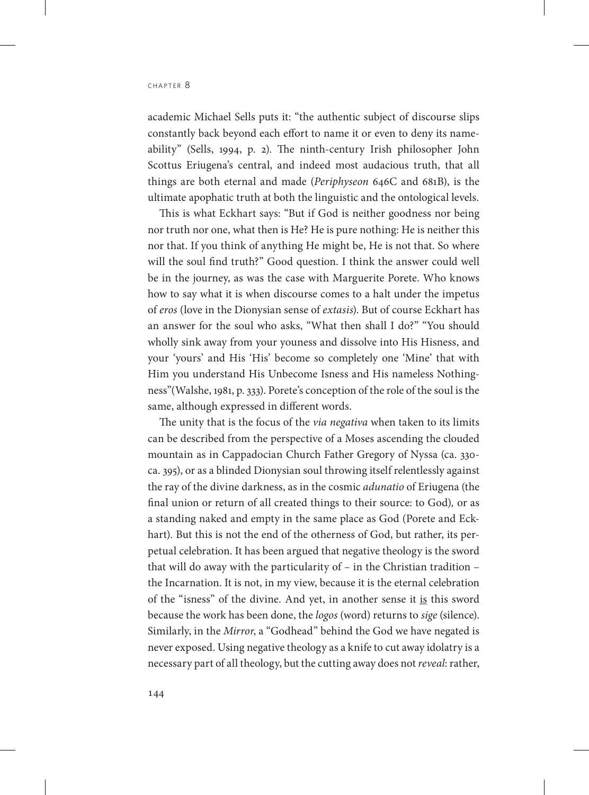academic Michael Sells puts it: "the authentic subject of discourse slips constantly back beyond each effort to name it or even to deny its nameability" (Sells, 1994, p. 2). The ninth-century Irish philosopher John Scottus Eriugena's central, and indeed most audacious truth, that all things are both eternal and made (*Periphyseon* 646C and 681B), is the ultimate apophatic truth at both the linguistic and the ontological levels.

This is what Eckhart says: "But if God is neither goodness nor being nor truth nor one, what then is He? He is pure nothing: He is neither this nor that. If you think of anything He might be, He is not that. So where will the soul find truth?" Good question. I think the answer could well be in the journey, as was the case with Marguerite Porete. Who knows how to say what it is when discourse comes to a halt under the impetus of *eros* (love in the Dionysian sense of *extasis*). But of course Eckhart has an answer for the soul who asks, "What then shall I do?" "You should wholly sink away from your youness and dissolve into His Hisness, and your 'yours' and His 'His' become so completely one 'Mine' that with Him you understand His Unbecome Isness and His nameless Nothingness"(Walshe, 1981, p. 333). Porete's conception of the role of the soul is the same, although expressed in different words.

The unity that is the focus of the *via negativa* when taken to its limits can be described from the perspective of a Moses ascending the clouded mountain as in Cappadocian Church Father Gregory of Nyssa (ca. 330 ca. 395), or as a blinded Dionysian soul throwing itself relentlessly against the ray of the divine darkness, as in the cosmic *adunatio* of Eriugena (the final union or return of all created things to their source: to God)*,* or as a standing naked and empty in the same place as God (Porete and Eckhart)*.* But this is not the end of the otherness of God, but rather, its perpetual celebration. It has been argued that negative theology is the sword that will do away with the particularity of – in the Christian tradition – the Incarnation. It is not, in my view, because it is the eternal celebration of the "isness" of the divine. And yet, in another sense it is this sword because the work has been done, the *logos* (word) returns to *sige* (silence). Similarly, in the *Mirror*, a "Godhead" behind the God we have negated is never exposed. Using negative theology as a knife to cut away idolatry is a necessary part of all theology, but the cutting away does not *reveal*: rather,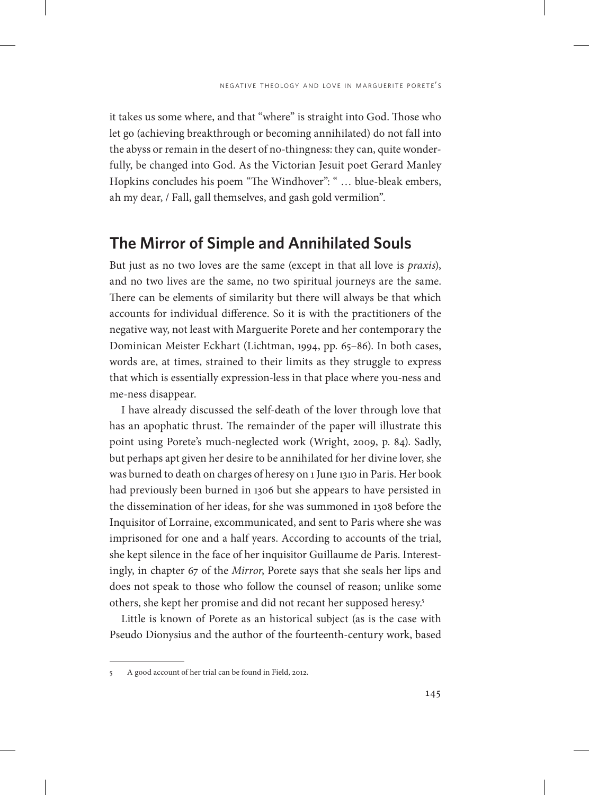it takes us some where, and that "where" is straight into God. Those who let go (achieving breakthrough or becoming annihilated) do not fall into the abyss or remain in the desert of no-thingness: they can, quite wonderfully, be changed into God. As the Victorian Jesuit poet Gerard Manley Hopkins concludes his poem "The Windhover": " … blue-bleak embers, ah my dear, / Fall, gall themselves, and gash gold vermilion".

#### **The Mirror of Simple and Annihilated Souls**

But just as no two loves are the same (except in that all love is *praxis*), and no two lives are the same, no two spiritual journeys are the same. There can be elements of similarity but there will always be that which accounts for individual difference. So it is with the practitioners of the negative way, not least with Marguerite Porete and her contemporary the Dominican Meister Eckhart (Lichtman, 1994, pp. 65–86). In both cases, words are, at times, strained to their limits as they struggle to express that which is essentially expression-less in that place where you-ness and me-ness disappear.

I have already discussed the self-death of the lover through love that has an apophatic thrust. The remainder of the paper will illustrate this point using Porete's much-neglected work (Wright, 2009, p. 84). Sadly, but perhaps apt given her desire to be annihilated for her divine lover, she was burned to death on charges of heresy on 1 June 1310 in Paris. Her book had previously been burned in 1306 but she appears to have persisted in the dissemination of her ideas, for she was summoned in 1308 before the Inquisitor of Lorraine, excommunicated, and sent to Paris where she was imprisoned for one and a half years. According to accounts of the trial, she kept silence in the face of her inquisitor Guillaume de Paris. Interestingly, in chapter 67 of the *Mirror*, Porete says that she seals her lips and does not speak to those who follow the counsel of reason; unlike some others, she kept her promise and did not recant her supposed heresy.5

Little is known of Porete as an historical subject (as is the case with Pseudo Dionysius and the author of the fourteenth-century work, based

<sup>5</sup> A good account of her trial can be found in Field, 2012.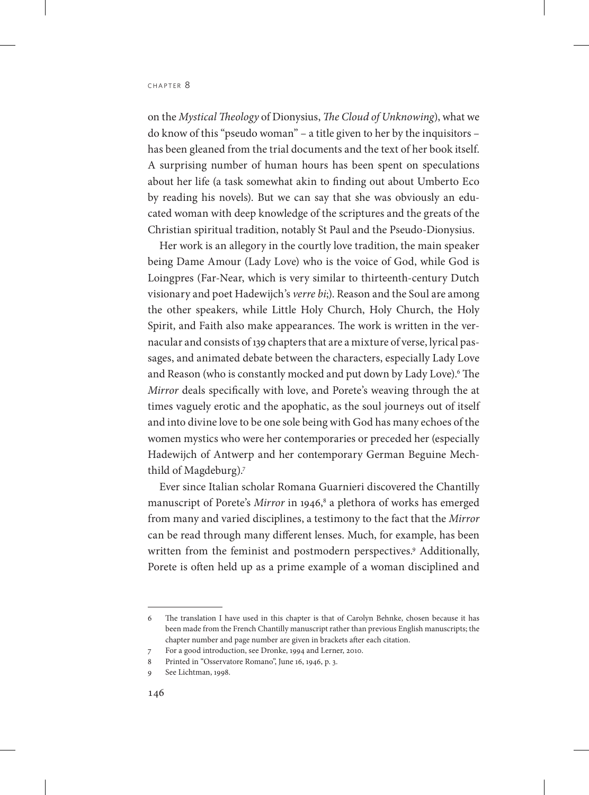on the *Mystical Theology* of Dionysius, *The Cloud of Unknowing*), what we do know of this "pseudo woman" – a title given to her by the inquisitors – has been gleaned from the trial documents and the text of her book itself. A surprising number of human hours has been spent on speculations about her life (a task somewhat akin to finding out about Umberto Eco by reading his novels). But we can say that she was obviously an educated woman with deep knowledge of the scriptures and the greats of the Christian spiritual tradition, notably St Paul and the Pseudo-Dionysius.

Her work is an allegory in the courtly love tradition, the main speaker being Dame Amour (Lady Love) who is the voice of God, while God is Loingpres (Far-Near, which is very similar to thirteenth-century Dutch visionary and poet Hadewijch's *verre bi*;). Reason and the Soul are among the other speakers, while Little Holy Church, Holy Church, the Holy Spirit, and Faith also make appearances. The work is written in the vernacular and consists of 139 chapters that are a mixture of verse, lyrical passages, and animated debate between the characters, especially Lady Love and Reason (who is constantly mocked and put down by Lady Love).6 The *Mirror* deals specifically with love, and Porete's weaving through the at times vaguely erotic and the apophatic, as the soul journeys out of itself and into divine love to be one sole being with God has many echoes of the women mystics who were her contemporaries or preceded her (especially Hadewijch of Antwerp and her contemporary German Beguine Mechthild of Magdeburg).7

Ever since Italian scholar Romana Guarnieri discovered the Chantilly manuscript of Porete's Mirror in 1946,<sup>8</sup> a plethora of works has emerged from many and varied disciplines, a testimony to the fact that the *Mirror* can be read through many different lenses. Much, for example, has been written from the feminist and postmodern perspectives.<sup>9</sup> Additionally, Porete is often held up as a prime example of a woman disciplined and

<sup>6</sup> The translation I have used in this chapter is that of Carolyn Behnke, chosen because it has been made from the French Chantilly manuscript rather than previous English manuscripts; the chapter number and page number are given in brackets after each citation.

<sup>7</sup> For a good introduction, see Dronke, 1994 and Lerner, 2010.

<sup>8</sup> Printed in "Osservatore Romano", June 16, 1946, p. 3.

<sup>9</sup> See Lichtman, 1998.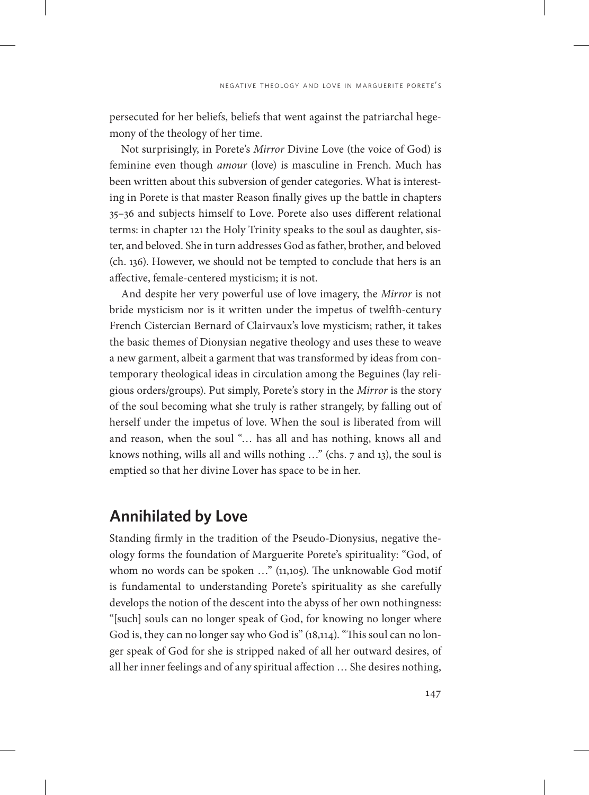persecuted for her beliefs, beliefs that went against the patriarchal hegemony of the theology of her time.

Not surprisingly, in Porete's *Mirror* Divine Love (the voice of God) is feminine even though *amour* (love) is masculine in French. Much has been written about this subversion of gender categories. What is interesting in Porete is that master Reason finally gives up the battle in chapters 35–36 and subjects himself to Love. Porete also uses different relational terms: in chapter 121 the Holy Trinity speaks to the soul as daughter, sister, and beloved. She in turn addresses God as father, brother, and beloved (ch. 136). However, we should not be tempted to conclude that hers is an affective, female-centered mysticism; it is not.

And despite her very powerful use of love imagery, the *Mirror* is not bride mysticism nor is it written under the impetus of twelfth-century French Cistercian Bernard of Clairvaux's love mysticism; rather, it takes the basic themes of Dionysian negative theology and uses these to weave a new garment, albeit a garment that was transformed by ideas from contemporary theological ideas in circulation among the Beguines (lay religious orders/groups). Put simply, Porete's story in the *Mirror* is the story of the soul becoming what she truly is rather strangely, by falling out of herself under the impetus of love. When the soul is liberated from will and reason, when the soul "… has all and has nothing, knows all and knows nothing, wills all and wills nothing …" (chs. 7 and 13), the soul is emptied so that her divine Lover has space to be in her.

#### **Annihilated by Love**

Standing firmly in the tradition of the Pseudo-Dionysius, negative theology forms the foundation of Marguerite Porete's spirituality: "God, of whom no words can be spoken ..." (11,105). The unknowable God motif is fundamental to understanding Porete's spirituality as she carefully develops the notion of the descent into the abyss of her own nothingness: "[such] souls can no longer speak of God, for knowing no longer where God is, they can no longer say who God is" (18,114). "This soul can no longer speak of God for she is stripped naked of all her outward desires, of all her inner feelings and of any spiritual affection … She desires nothing,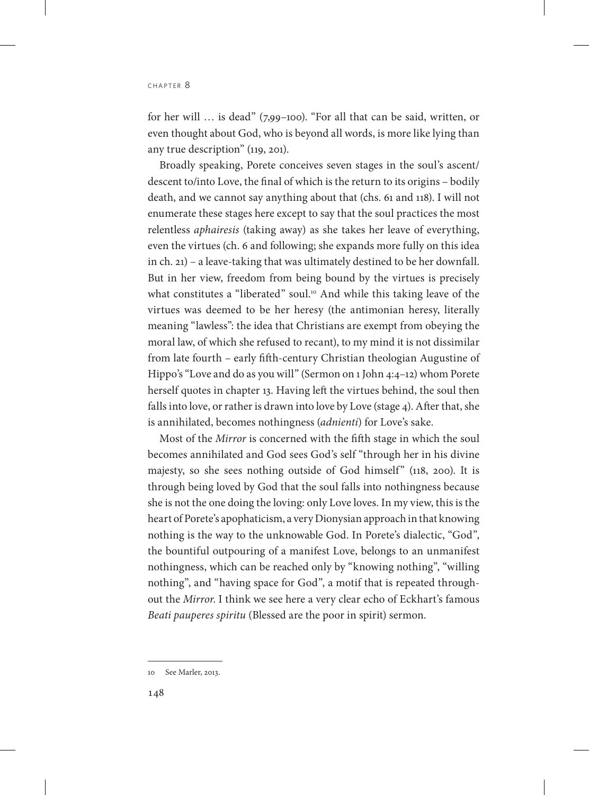for her will … is dead" (7,99–100). "For all that can be said, written, or even thought about God, who is beyond all words, is more like lying than any true description" (119, 201).

Broadly speaking, Porete conceives seven stages in the soul's ascent/ descent to/into Love, the final of which is the return to its origins – bodily death, and we cannot say anything about that (chs. 61 and 118). I will not enumerate these stages here except to say that the soul practices the most relentless *aphairesis* (taking away) as she takes her leave of everything, even the virtues (ch. 6 and following; she expands more fully on this idea in ch. 21) – a leave-taking that was ultimately destined to be her downfall. But in her view, freedom from being bound by the virtues is precisely what constitutes a "liberated" soul.<sup>10</sup> And while this taking leave of the virtues was deemed to be her heresy (the antimonian heresy, literally meaning "lawless": the idea that Christians are exempt from obeying the moral law, of which she refused to recant), to my mind it is not dissimilar from late fourth – early fifth-century Christian theologian Augustine of Hippo's "Love and do as you will" (Sermon on 1 John 4:4–12) whom Porete herself quotes in chapter 13. Having left the virtues behind, the soul then falls into love, or rather is drawn into love by Love (stage 4). After that, she is annihilated, becomes nothingness (*adnienti*) for Love's sake.

Most of the *Mirror* is concerned with the fifth stage in which the soul becomes annihilated and God sees God's self "through her in his divine majesty, so she sees nothing outside of God himself" (118, 200). It is through being loved by God that the soul falls into nothingness because she is not the one doing the loving: only Love loves. In my view, this is the heart of Porete's apophaticism, a very Dionysian approach in that knowing nothing is the way to the unknowable God. In Porete's dialectic, "God", the bountiful outpouring of a manifest Love, belongs to an unmanifest nothingness, which can be reached only by "knowing nothing", "willing nothing", and "having space for God", a motif that is repeated throughout the *Mirror*. I think we see here a very clear echo of Eckhart's famous *Beati pauperes spiritu* (Blessed are the poor in spirit) sermon.

<sup>10</sup> See Marler, 2013.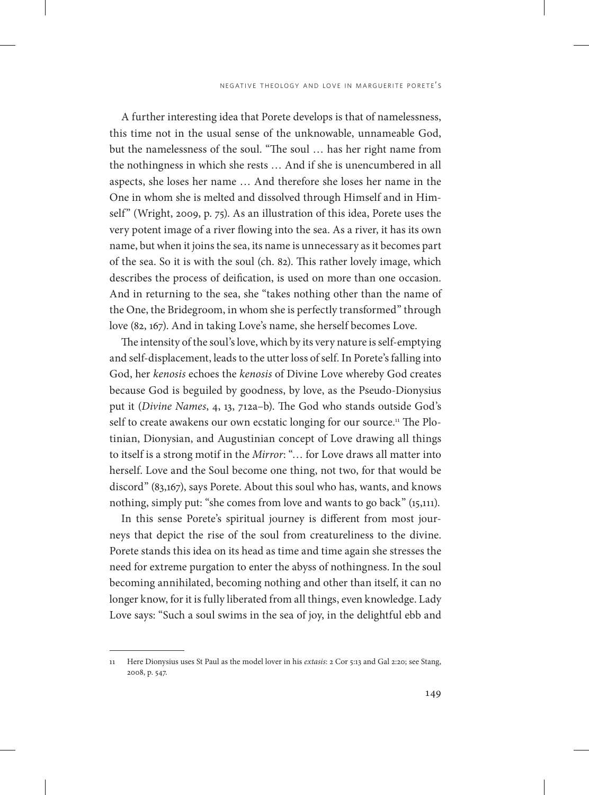A further interesting idea that Porete develops is that of namelessness, this time not in the usual sense of the unknowable, unnameable God, but the namelessness of the soul. "The soul … has her right name from the nothingness in which she rests … And if she is unencumbered in all aspects, she loses her name … And therefore she loses her name in the One in whom she is melted and dissolved through Himself and in Himself" (Wright, 2009, p. 75). As an illustration of this idea, Porete uses the very potent image of a river flowing into the sea. As a river, it has its own name, but when it joins the sea, its name is unnecessary as it becomes part of the sea. So it is with the soul (ch. 82). This rather lovely image, which describes the process of deification, is used on more than one occasion. And in returning to the sea, she "takes nothing other than the name of the One, the Bridegroom, in whom she is perfectly transformed" through love (82, 167). And in taking Love's name, she herself becomes Love.

The intensity of the soul's love, which by its very nature is self-emptying and self-displacement, leads to the utter loss of self. In Porete's falling into God, her *kenosis* echoes the *kenosis* of Divine Love whereby God creates because God is beguiled by goodness, by love, as the Pseudo-Dionysius put it (*Divine Names*, 4, 13, 712a–b). The God who stands outside God's self to create awakens our own ecstatic longing for our source.<sup>11</sup> The Plotinian, Dionysian, and Augustinian concept of Love drawing all things to itself is a strong motif in the *Mirror*: "… for Love draws all matter into herself. Love and the Soul become one thing, not two, for that would be discord" (83,167), says Porete. About this soul who has, wants, and knows nothing, simply put: "she comes from love and wants to go back" (15,111).

In this sense Porete's spiritual journey is different from most journeys that depict the rise of the soul from creatureliness to the divine. Porete stands this idea on its head as time and time again she stresses the need for extreme purgation to enter the abyss of nothingness. In the soul becoming annihilated, becoming nothing and other than itself, it can no longer know, for it is fully liberated from all things, even knowledge. Lady Love says: "Such a soul swims in the sea of joy, in the delightful ebb and

<sup>11</sup> Here Dionysius uses St Paul as the model lover in his *extasis*: 2 Cor 5:13 and Gal 2:20; see Stang, 2008, p. 547.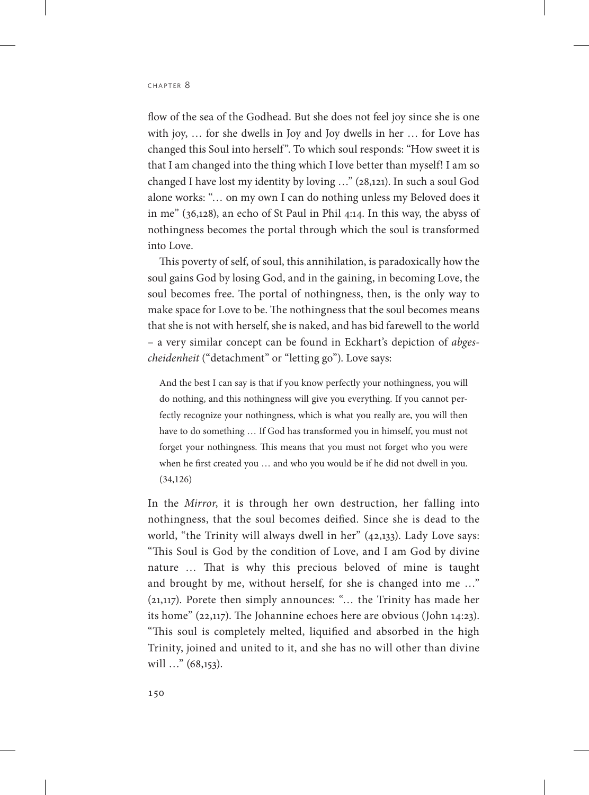flow of the sea of the Godhead. But she does not feel joy since she is one with joy, … for she dwells in Joy and Joy dwells in her … for Love has changed this Soul into herself". To which soul responds: "How sweet it is that I am changed into the thing which I love better than myself! I am so changed I have lost my identity by loving …" (28,121). In such a soul God alone works: "… on my own I can do nothing unless my Beloved does it in me" (36,128), an echo of St Paul in Phil 4:14. In this way, the abyss of nothingness becomes the portal through which the soul is transformed into Love.

This poverty of self, of soul, this annihilation, is paradoxically how the soul gains God by losing God, and in the gaining, in becoming Love, the soul becomes free. The portal of nothingness, then, is the only way to make space for Love to be. The nothingness that the soul becomes means that she is not with herself, she is naked, and has bid farewell to the world – a very similar concept can be found in Eckhart's depiction of *abgescheidenheit* ("detachment" or "letting go"). Love says:

And the best I can say is that if you know perfectly your nothingness, you will do nothing, and this nothingness will give you everything. If you cannot perfectly recognize your nothingness, which is what you really are, you will then have to do something … If God has transformed you in himself, you must not forget your nothingness. This means that you must not forget who you were when he first created you … and who you would be if he did not dwell in you. (34,126)

In the *Mirror*, it is through her own destruction, her falling into nothingness, that the soul becomes deified. Since she is dead to the world, "the Trinity will always dwell in her" (42,133). Lady Love says: "This Soul is God by the condition of Love, and I am God by divine nature … That is why this precious beloved of mine is taught and brought by me, without herself, for she is changed into me …" (21,117). Porete then simply announces: "… the Trinity has made her its home" (22,117). The Johannine echoes here are obvious (John 14:23). "This soul is completely melted, liquified and absorbed in the high Trinity, joined and united to it, and she has no will other than divine will ..." (68,153).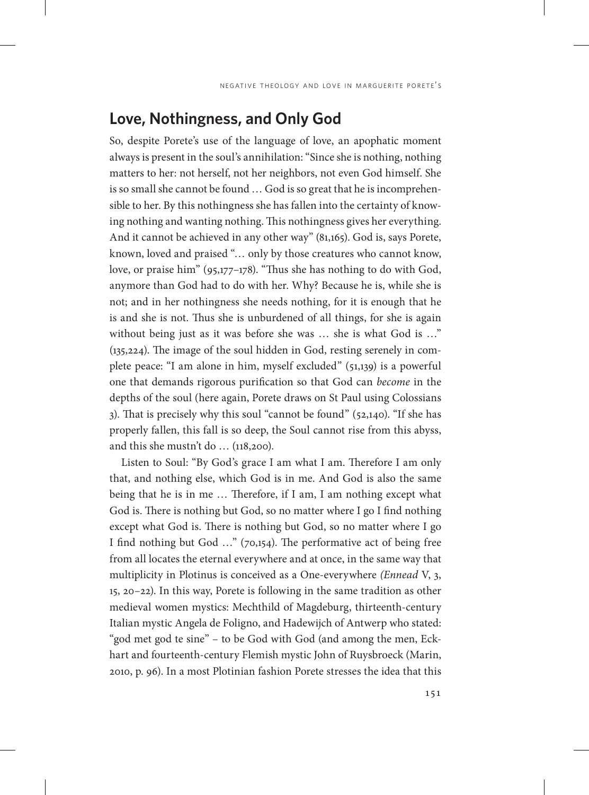# **Love, Nothingness, and Only God**

So, despite Porete's use of the language of love, an apophatic moment always is present in the soul's annihilation: "Since she is nothing, nothing matters to her: not herself, not her neighbors, not even God himself. She is so small she cannot be found … God is so great that he is incomprehensible to her. By this nothingness she has fallen into the certainty of knowing nothing and wanting nothing. This nothingness gives her everything. And it cannot be achieved in any other way" (81,165). God is, says Porete, known, loved and praised "… only by those creatures who cannot know, love, or praise him" (95,177–178). "Thus she has nothing to do with God, anymore than God had to do with her. Why? Because he is, while she is not; and in her nothingness she needs nothing, for it is enough that he is and she is not. Thus she is unburdened of all things, for she is again without being just as it was before she was … she is what God is …" (135,224). The image of the soul hidden in God, resting serenely in complete peace: "I am alone in him, myself excluded" (51,139) is a powerful one that demands rigorous purification so that God can *become* in the depths of the soul (here again, Porete draws on St Paul using Colossians 3). That is precisely why this soul "cannot be found" (52,140). "If she has properly fallen, this fall is so deep, the Soul cannot rise from this abyss, and this she mustn't do … (118,200).

Listen to Soul: "By God's grace I am what I am. Therefore I am only that, and nothing else, which God is in me. And God is also the same being that he is in me … Therefore, if I am, I am nothing except what God is. There is nothing but God, so no matter where I go I find nothing except what God is. There is nothing but God, so no matter where I go I find nothing but God …" (70,154). The performative act of being free from all locates the eternal everywhere and at once, in the same way that multiplicity in Plotinus is conceived as a One-everywhere *(Ennead* V, 3, 15, 20–22). In this way, Porete is following in the same tradition as other medieval women mystics: Mechthild of Magdeburg, thirteenth-century Italian mystic Angela de Foligno, and Hadewijch of Antwerp who stated: "god met god te sine" – to be God with God (and among the men, Eckhart and fourteenth-century Flemish mystic John of Ruysbroeck (Marin, 2010, p. 96). In a most Plotinian fashion Porete stresses the idea that this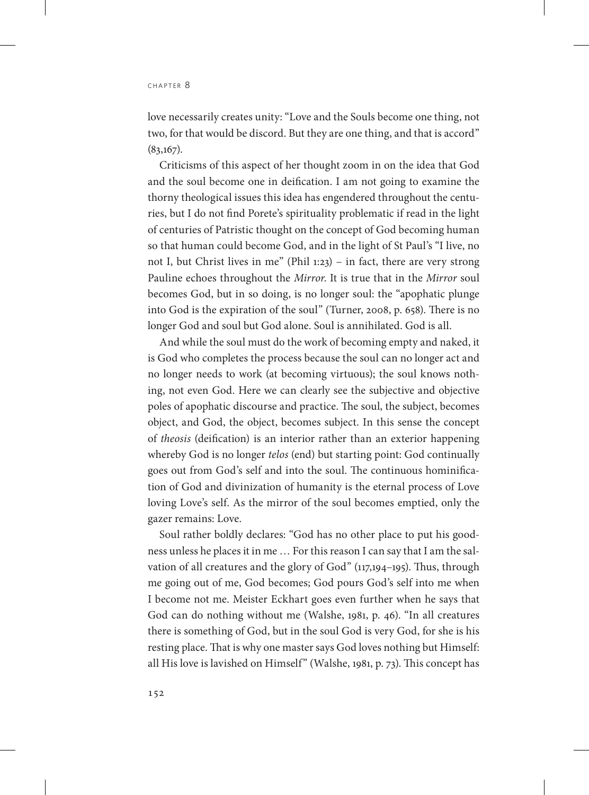love necessarily creates unity: "Love and the Souls become one thing, not two, for that would be discord. But they are one thing, and that is accord"  $(83,167)$ .

Criticisms of this aspect of her thought zoom in on the idea that God and the soul become one in deification. I am not going to examine the thorny theological issues this idea has engendered throughout the centuries, but I do not find Porete's spirituality problematic if read in the light of centuries of Patristic thought on the concept of God becoming human so that human could become God, and in the light of St Paul's "I live, no not I, but Christ lives in me" (Phil 1:23) – in fact, there are very strong Pauline echoes throughout the *Mirror*. It is true that in the *Mirror* soul becomes God, but in so doing, is no longer soul: the "apophatic plunge into God is the expiration of the soul" (Turner, 2008, p. 658). There is no longer God and soul but God alone. Soul is annihilated. God is all.

And while the soul must do the work of becoming empty and naked, it is God who completes the process because the soul can no longer act and no longer needs to work (at becoming virtuous); the soul knows nothing, not even God. Here we can clearly see the subjective and objective poles of apophatic discourse and practice. The soul, the subject, becomes object, and God, the object, becomes subject. In this sense the concept of *theosis* (deification) is an interior rather than an exterior happening whereby God is no longer *telos* (end) but starting point: God continually goes out from God's self and into the soul. The continuous hominification of God and divinization of humanity is the eternal process of Love loving Love's self. As the mirror of the soul becomes emptied, only the gazer remains: Love.

Soul rather boldly declares: "God has no other place to put his goodness unless he places it in me … For this reason I can say that I am the salvation of all creatures and the glory of God" (117,194–195). Thus, through me going out of me, God becomes; God pours God's self into me when I become not me. Meister Eckhart goes even further when he says that God can do nothing without me (Walshe, 1981, p. 46). "In all creatures there is something of God, but in the soul God is very God, for she is his resting place. That is why one master says God loves nothing but Himself: all His love is lavished on Himself" (Walshe, 1981, p. 73). This concept has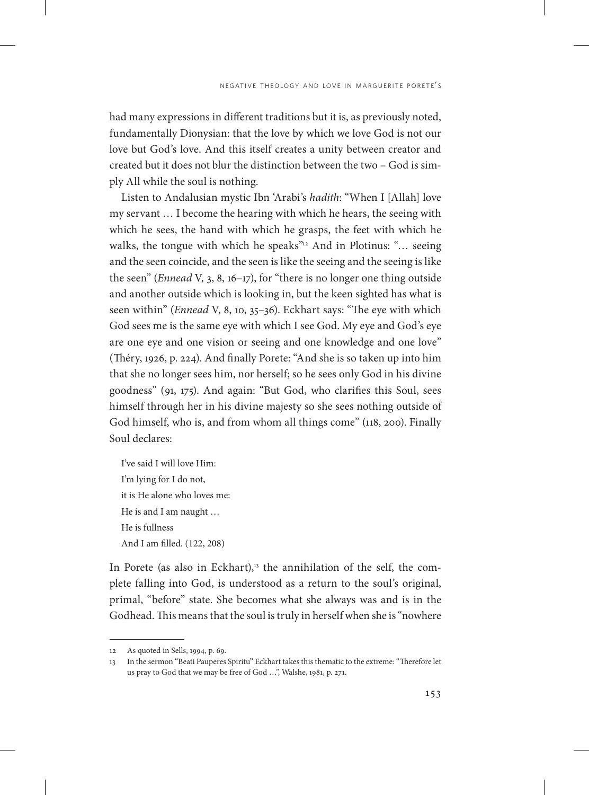had many expressions in different traditions but it is, as previously noted, fundamentally Dionysian: that the love by which we love God is not our love but God's love. And this itself creates a unity between creator and created but it does not blur the distinction between the two – God is simply All while the soul is nothing.

Listen to Andalusian mystic Ibn 'Arabi's *hadith*: "When I [Allah] love my servant … I become the hearing with which he hears, the seeing with which he sees, the hand with which he grasps, the feet with which he walks, the tongue with which he speaks $v_{12}$  And in Plotinus: "... seeing and the seen coincide, and the seen is like the seeing and the seeing is like the seen" (*Ennead* V*,* 3, 8, 16–17), for "there is no longer one thing outside and another outside which is looking in, but the keen sighted has what is seen within" (*Ennead* V, 8, 10, 35–36). Eckhart says: "The eye with which God sees me is the same eye with which I see God. My eye and God's eye are one eye and one vision or seeing and one knowledge and one love" (Théry, 1926, p. 224). And finally Porete: "And she is so taken up into him that she no longer sees him, nor herself; so he sees only God in his divine goodness" (91, 175). And again: "But God, who clarifies this Soul, sees himself through her in his divine majesty so she sees nothing outside of God himself, who is, and from whom all things come" (118, 200). Finally Soul declares:

I've said I will love Him: I'm lying for I do not, it is He alone who loves me: He is and I am naught … He is fullness And I am filled. (122, 208)

In Porete (as also in Eckhart), $13$  the annihilation of the self, the complete falling into God, is understood as a return to the soul's original, primal, "before" state. She becomes what she always was and is in the Godhead. This means that the soul is truly in herself when she is "nowhere

<sup>12</sup> As quoted in Sells, 1994, p. 69.

<sup>13</sup> In the sermon "Beati Pauperes Spiritu" Eckhart takes this thematic to the extreme: "Therefore let us pray to God that we may be free of God …", Walshe, 1981, p. 271.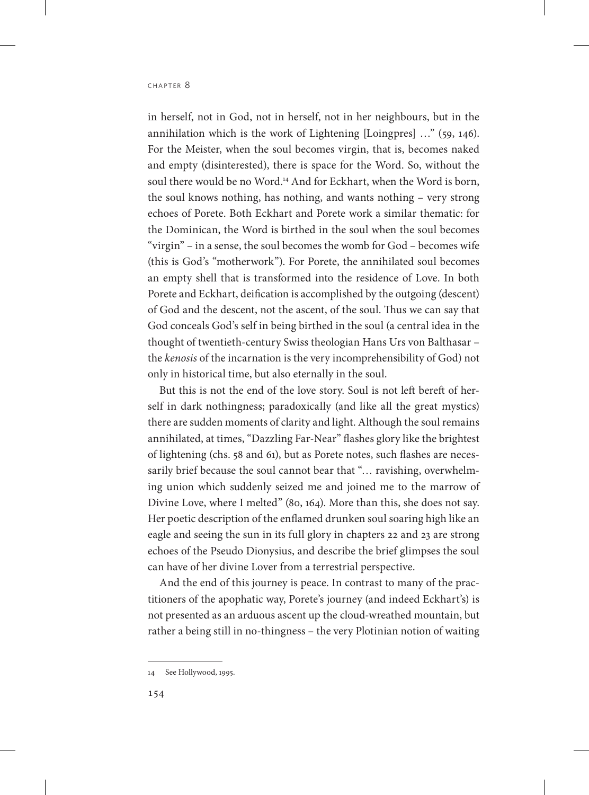in herself, not in God, not in herself, not in her neighbours, but in the annihilation which is the work of Lightening [Loingpres] …" (59, 146). For the Meister, when the soul becomes virgin, that is, becomes naked and empty (disinterested), there is space for the Word. So, without the soul there would be no Word.<sup>14</sup> And for Eckhart, when the Word is born, the soul knows nothing, has nothing, and wants nothing – very strong echoes of Porete. Both Eckhart and Porete work a similar thematic: for the Dominican, the Word is birthed in the soul when the soul becomes "virgin" – in a sense, the soul becomes the womb for God – becomes wife (this is God's "motherwork"). For Porete, the annihilated soul becomes an empty shell that is transformed into the residence of Love. In both Porete and Eckhart, deification is accomplished by the outgoing (descent) of God and the descent, not the ascent, of the soul. Thus we can say that God conceals God's self in being birthed in the soul (a central idea in the thought of twentieth-century Swiss theologian Hans Urs von Balthasar – the *kenosis* of the incarnation is the very incomprehensibility of God) not only in historical time, but also eternally in the soul.

But this is not the end of the love story. Soul is not left bereft of herself in dark nothingness; paradoxically (and like all the great mystics) there are sudden moments of clarity and light. Although the soul remains annihilated, at times, "Dazzling Far-Near" flashes glory like the brightest of lightening (chs. 58 and 61), but as Porete notes, such flashes are necessarily brief because the soul cannot bear that "… ravishing, overwhelming union which suddenly seized me and joined me to the marrow of Divine Love, where I melted" (80, 164). More than this, she does not say. Her poetic description of the enflamed drunken soul soaring high like an eagle and seeing the sun in its full glory in chapters 22 and 23 are strong echoes of the Pseudo Dionysius, and describe the brief glimpses the soul can have of her divine Lover from a terrestrial perspective.

And the end of this journey is peace. In contrast to many of the practitioners of the apophatic way, Porete's journey (and indeed Eckhart's) is not presented as an arduous ascent up the cloud-wreathed mountain, but rather a being still in no-thingness – the very Plotinian notion of waiting

<sup>14</sup> See Hollywood, 1995.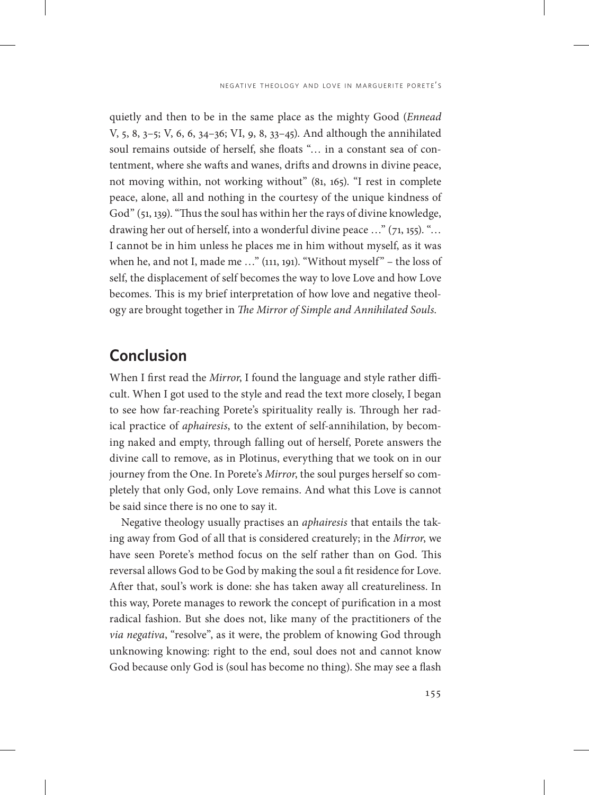quietly and then to be in the same place as the mighty Good (*Ennead*  V, 5, 8, 3–5; V, 6, 6, 34–36; VI, 9, 8, 33–45). And although the annihilated soul remains outside of herself, she floats "… in a constant sea of contentment, where she wafts and wanes, drifts and drowns in divine peace, not moving within, not working without" (81, 165). "I rest in complete peace, alone, all and nothing in the courtesy of the unique kindness of God" (51, 139). "Thus the soul has within her the rays of divine knowledge, drawing her out of herself, into a wonderful divine peace …" (71, 155). "… I cannot be in him unless he places me in him without myself, as it was when he, and not I, made me …" (111, 191). "Without myself" – the loss of self, the displacement of self becomes the way to love Love and how Love becomes. This is my brief interpretation of how love and negative theology are brought together in *The Mirror of Simple and Annihilated Souls*.

### **Conclusion**

When I first read the *Mirror*, I found the language and style rather difficult. When I got used to the style and read the text more closely, I began to see how far-reaching Porete's spirituality really is. Through her radical practice of *aphairesis*, to the extent of self-annihilation, by becoming naked and empty, through falling out of herself, Porete answers the divine call to remove, as in Plotinus, everything that we took on in our journey from the One. In Porete's *Mirror*, the soul purges herself so completely that only God, only Love remains. And what this Love is cannot be said since there is no one to say it.

Negative theology usually practises an *aphairesis* that entails the taking away from God of all that is considered creaturely; in the *Mirror*, we have seen Porete's method focus on the self rather than on God. This reversal allows God to be God by making the soul a fit residence for Love. After that, soul's work is done: she has taken away all creatureliness. In this way, Porete manages to rework the concept of purification in a most radical fashion. But she does not, like many of the practitioners of the *via negativa*, "resolve", as it were, the problem of knowing God through unknowing knowing: right to the end, soul does not and cannot know God because only God is (soul has become no thing). She may see a flash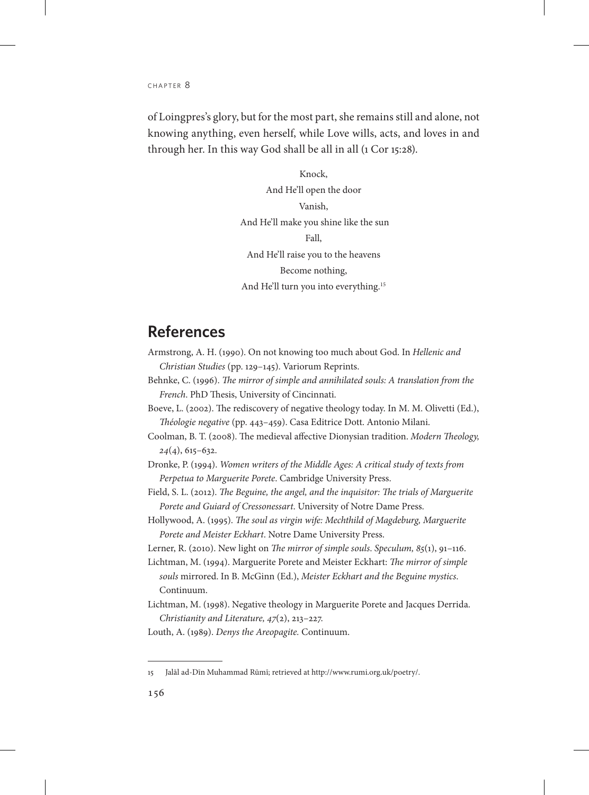of Loingpres's glory, but for the most part, she remains still and alone, not knowing anything, even herself, while Love wills, acts, and loves in and through her. In this way God shall be all in all (1 Cor 15:28).

> Knock, And He'll open the door Vanish, And He'll make you shine like the sun Fall, And He'll raise you to the heavens Become nothing, And He'll turn you into everything.<sup>15</sup>

#### **References**

- Armstrong, A. H. (1990). On not knowing too much about God. In *Hellenic and Christian Studies* (pp. 129–145). Variorum Reprints.
- Behnke, C. (1996). *The mirror of simple and annihilated souls: A translation from the French*. PhD Thesis, University of Cincinnati.
- Boeve, L. (2002). The rediscovery of negative theology today. In M. M. Olivetti (Ed.), *Théologie negative* (pp. 443–459). Casa Editrice Dott. Antonio Milani.
- Coolman, B. T. (2008). The medieval affective Dionysian tradition. *Modern Theology, 24*(4), 615–632.
- Dronke, P. (1994). *Women writers of the Middle Ages: A critical study of texts from Perpetua to Marguerite Porete*. Cambridge University Press.
- Field, S. L. (2012). *The Beguine, the angel, and the inquisitor: The trials of Marguerite Porete and Guiard of Cressonessart*. University of Notre Dame Press.
- Hollywood, A. (1995). *The soul as virgin wife: Mechthild of Magdeburg, Marguerite Porete and Meister Eckhart*. Notre Dame University Press.
- Lerner, R. (2010). New light on *The mirror of simple souls*. *Speculum, 85*(1), 91–116.
- Lichtman, M. (1994). Marguerite Porete and Meister Eckhart: *The mirror of simple souls* mirrored. In B. McGinn (Ed.), *Meister Eckhart and the Beguine mystics*. Continuum.
- Lichtman, M. (1998). Negative theology in Marguerite Porete and Jacques Derrida. *Christianity and Literature, 47*(2), 213–227.
- Louth, A. (1989). *Denys the Areopagite.* Continuum.

<sup>15</sup> Jalāl ad-Dīn Muhammad Rūmī; retrieved at http://www.rumi.org.uk/poetry/.